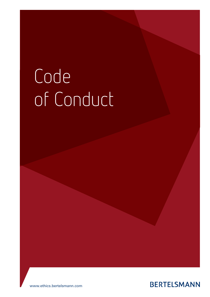# Code of Conduct



www.ethics.bertelsmann.com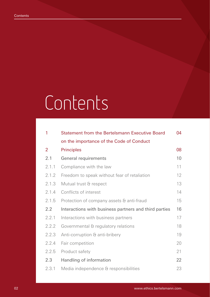# **Contents**

| 1     | <b>Statement from the Bertelsmann Executive Board</b> | 04              |
|-------|-------------------------------------------------------|-----------------|
|       | on the importance of the Code of Conduct              |                 |
| 2     | <b>Principles</b>                                     | 08              |
| 2.1   | General requirements                                  | 10 <sup>°</sup> |
| 2.1.1 | Compliance with the law                               | 11              |
| 2.1.2 | Freedom to speak without fear of retaliation          | 12              |
| 2.1.3 | Mutual trust & respect                                | 13              |
| 2.1.4 | Conflicts of interest                                 | 14              |
| 2.1.5 | Protection of company assets & anti-fraud             | 15              |
| 2.2   | Interactions with business partners and third parties | 16              |
| 2.2.1 | Interactions with business partners                   | 17              |
| 2.2.2 | Governmental & regulatory relations                   | 18              |
| 2.2.3 | Anti-corruption & anti-bribery                        | 19              |
| 2.2.4 | Fair competition                                      | 20              |
| 2.2.5 | Product safety                                        | 21              |
| 2.3   | Handling of information                               | 22              |
| 2.3.1 | Media independence & responsibilities                 | 23              |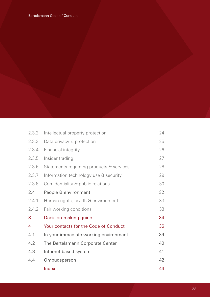| 2.3.2 | Intellectual property protection         | 24 |
|-------|------------------------------------------|----|
| 2.3.3 | Data privacy & protection                | 25 |
| 2.3.4 | Financial integrity                      | 26 |
| 2.3.5 | Insider trading                          | 27 |
| 2.3.6 | Statements regarding products & services | 28 |
| 2.3.7 | Information technology use & security    | 29 |
| 2.3.8 | Confidentiality & public relations       | 30 |
| 2.4   | People & environment                     | 32 |
| 2.4.1 | Human rights, health & environment       | 33 |
| 2.4.2 | Fair working conditions                  | 33 |
| 3     | Decision-making guide                    | 34 |
| 4     | Your contacts for the Code of Conduct    | 36 |
| 4.1   | In your immediate working environment    | 39 |
| 4.2   | The Bertelsmann Corporate Center         | 40 |
| 4.3   | Internet-based system                    | 41 |
| 4.4   | Ombudsperson                             | 42 |
|       | Index                                    | 44 |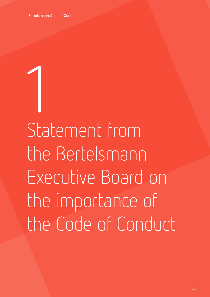1 Statement from the Bertelsmann Executive Board on the importance of the Code of Conduct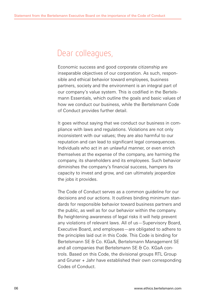### Dear colleagues,

Economic success and good corporate citizenship are inseparable objectives of our corporation. As such, responsible and ethical behavior toward employees, business partners, society and the environment is an integral part of our company's value system. This is codified in the Bertelsmann Essentials, which outline the goals and basic values of how we conduct our business, while the Bertelsmann Code of Conduct provides further detail.

It goes without saying that we conduct our business in compliance with laws and regulations. Violations are not only inconsistent with our values; they are also harmful to our reputation and can lead to significant legal consequences. Individuals who act in an unlawful manner, or even enrich themselves at the expense of the company, are harming the company, its shareholders and its employees. Such behavior diminishes the company's financial success, hampers its capacity to invest and grow, and can ultimately jeopardize the jobs it provides.

The Code of Conduct serves as a common guideline for our decisions and our actions. It outlines binding minimum standards for responsible behavior toward business partners and the public, as well as for our behavior within the company. By heightening awareness of legal risks it will help prevent any violations of relevant laws. All of us—Supervisory Board, Executive Board, and employees—are obligated to adhere to the principles laid out in this Code. This Code is binding for Bertelsmann SE & Co. KGaA, Bertelsmann Management SE and all companies that Bertelsmann SE & Co. KGaA controls. Based on this Code, the divisional groups RTL Group and Gruner + Jahr have established their own corresponding Codes of Conduct.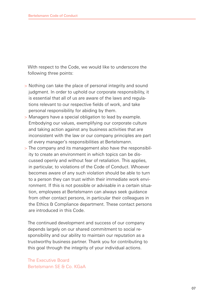With respect to the Code, we would like to underscore the following three points:

- > Nothing can take the place of personal integrity and sound judgment. In order to uphold our corporate responsibility, it is essential that all of us are aware of the laws and regulations relevant to our respective fields of work, and take personal responsibility for abiding by them.
- > Managers have a special obligation to lead by example. Embodying our values, exemplifying our corporate culture and taking action against any business activities that are inconsistent with the law or our company principles are part of every manager's responsibilities at Bertelsmann.
- > The company and its management also have the responsibility to create an environment in which topics can be discussed openly and without fear of retaliation. This applies, in particular, to violations of the Code of Conduct. Whoever becomes aware of any such violation should be able to turn to a person they can trust within their immediate work environment. If this is not possible or advisable in a certain situation, employees at Bertelsmann can always seek guidance from other contact persons, in particular their colleagues in the Ethics & Compliance department. These contact persons are introduced in this Code.

The continued development and success of our company depends largely on our shared commitment to social responsibility and our ability to maintain our reputation as a trustworthy business partner. Thank you for contributing to this goal through the integrity of your individual actions.

The Executive Board Bertelsmann SE & Co. KGaA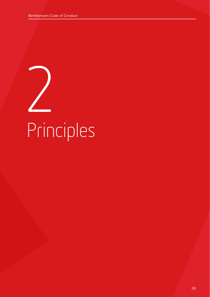2 Principles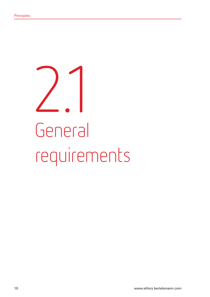# 2.1 General requirements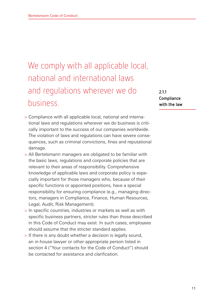## We comply with all applicable local, national and international laws and regulations wherever we do business.

**2.1.1 Compliance with the law**

- > Compliance with all applicable local, national and international laws and regulations wherever we do business is critically important to the success of our companies worldwide. The violation of laws and regulations can have severe consequences, such as criminal convictions, fines and reputational damage.
- > All Bertelsmann managers are obligated to be familiar with the basic laws, regulations and corporate policies that are relevant to their areas of responsibility. Comprehensive knowledge of applicable laws and corporate policy is especially important for those managers who, because of their specific functions or appointed positions, have a special responsibility for ensuring compliance (e.g., managing directors, managers in Compliance, Finance, Human Resources, Legal, Audit, Risk Management).
- > In specific countries, industries or markets as well as with specific business partners, stricter rules than those described in this Code of Conduct may exist. In such cases, employees should assume that the stricter standard applies.
- > If there is any doubt whether a decision is legally sound, an in-house lawyer or other appropriate person listed in section 4 ("Your contacts for the Code of Conduct") should be contacted for assistance and clarification.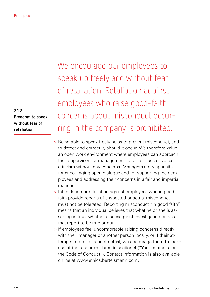**2.1.2 Freedom to speak without fear of retaliation**

We encourage our employees to speak up freely and without fear of retaliation. Retaliation against employees who raise good-faith concerns about misconduct occurring in the company is prohibited.

- > Being able to speak freely helps to prevent misconduct, and to detect and correct it, should it occur. We therefore value an open work environment where employees can approach their supervisors or management to raise issues or voice criticism without any concerns. Managers are responsible for encouraging open dialogue and for supporting their employees and addressing their concerns in a fair and impartial manner.
- > Intimidation or retaliation against employees who in good faith provide reports of suspected or actual misconduct must not be tolerated. Reporting misconduct "in good faith" means that an individual believes that what he or she is asserting is true, whether a subsequent investigation proves that report to be true or not.
- > If employees feel uncomfortable raising concerns directly with their manager or another person locally, or if their attempts to do so are ineffectual, we encourage them to make use of the resources listed in section 4 ("Your contacts for the Code of Conduct"). Contact information is also available online at www.ethics.bertelsmann.com.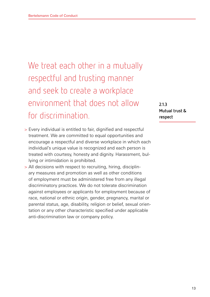We treat each other in a mutually respectful and trusting manner and seek to create a workplace environment that does not allow for discrimination.

- > Every individual is entitled to fair, dignified and respectful treatment. We are committed to equal opportunities and encourage a respectful and diverse workplace in which each individual's unique value is recognized and each person is treated with courtesy, honesty and dignity. Harassment, bullying or intimidation is prohibited.
- > All decisions with respect to recruiting, hiring, disciplinary measures and promotion as well as other conditions of employment must be administered free from any illegal discriminatory practices. We do not tolerate discrimination against employees or applicants for employment because of race, national or ethnic origin, gender, pregnancy, marital or parental status, age, disability, religion or belief, sexual orientation or any other characteristic specified under applicable anti-discrimination law or company policy.

**2.1.3 Mutual trust & respect**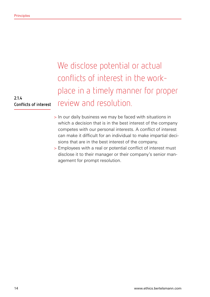**2.1.4 Conflicts of interest** We disclose potential or actual conflicts of interest in the workplace in a timely manner for proper review and resolution.

- > In our daily business we may be faced with situations in which a decision that is in the best interest of the company competes with our personal interests. A conflict of interest can make it difficult for an individual to make impartial decisions that are in the best interest of the company.
- > Employees with a real or potential conflict of interest must disclose it to their manager or their company's senior management for prompt resolution.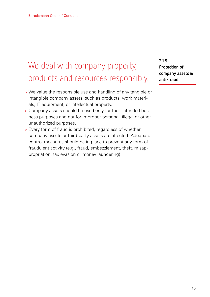### We deal with company property, products and resources responsibly.

- > We value the responsible use and handling of any tangible or intangible company assets, such as products, work materials, IT equipment, or intellectual property.
- > Company assets should be used only for their intended business purposes and not for improper personal, illegal or other unauthorized purposes.
- > Every form of fraud is prohibited, regardless of whether company assets or third-party assets are affected. Adequate control measures should be in place to prevent any form of fraudulent activity (e.g., fraud, embezzlement, theft, misappropriation, tax evasion or money laundering).

**2.1.5 Protection of company assets & anti-fraud**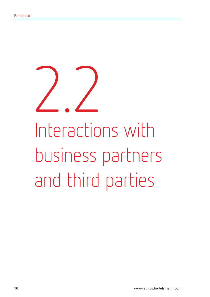2.2 Interactions with business partners and third parties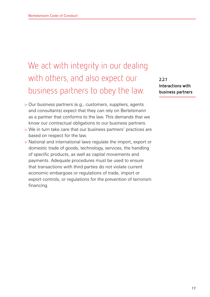### We act with integrity in our dealing with others, and also expect our business partners to obey the law.

- > Our business partners (e.g., customers, suppliers, agents and consultants) expect that they can rely on Bertelsmann as a partner that conforms to the law. This demands that we know our contractual obligations to our business partners.
- > We in turn take care that our business partners' practices are based on respect for the law.
- > National and international laws regulate the import, export or domestic trade of goods, technology, services, the handling of specific products, as well as capital movements and payments. Adequate procedures must be used to ensure that transactions with third parties do not violate current economic embargoes or regulations of trade, import or export controls, or regulations for the prevention of terrorism financing.

**2.2.1 Interactions with business partners**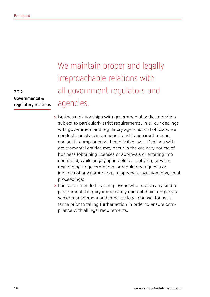**2.2.2 Governmental & regulatory relations** We maintain proper and legally irreproachable relations with all government regulators and agencies.

- > Business relationships with governmental bodies are often subject to particularly strict requirements. In all our dealings with government and regulatory agencies and officials, we conduct ourselves in an honest and transparent manner and act in compliance with applicable laws. Dealings with governmental entities may occur in the ordinary course of business (obtaining licenses or approvals or entering into contracts), while engaging in political lobbying, or when responding to governmental or regulatory requests or inquiries of any nature (e.g., subpoenas, investigations, legal proceedings).
- > It is recommended that employees who receive any kind of governmental inquiry immediately contact their company's senior management and in-house legal counsel for assistance prior to taking further action in order to ensure compliance with all legal requirements.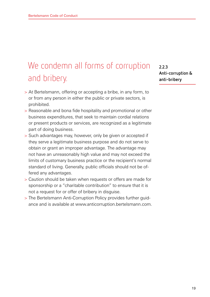## We condemn all forms of corruption and bribery.

- > At Bertelsmann, offering or accepting a bribe, in any form, to or from any person in either the public or private sectors, is prohibited.
- > Reasonable and bona fide hospitality and promotional or other business expenditures, that seek to maintain cordial relations or present products or services, are recognized as a legitimate part of doing business.
- > Such advantages may, however, only be given or accepted if they serve a legitimate business purpose and do not serve to obtain or grant an improper advantage. The advantage may not have an unreasonably high value and may not exceed the limits of customary business practice or the recipient's normal standard of living. Generally, public officials should not be offered any advantages.
- > Caution should be taken when requests or offers are made for sponsorship or a "charitable contribution" to ensure that it is not a request for or offer of bribery in disguise.
- > The Bertelsmann Anti-Corruption Policy provides further guidance and is available at www.anticorruption.bertelsmann.com.

**2.2.3 Anti-corruption & anti-bribery**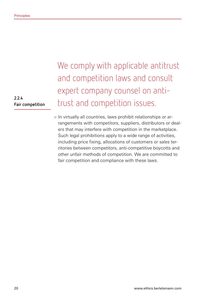**2.2.4 Fair competition** We comply with applicable antitrust and competition laws and consult expert company counsel on antitrust and competition issues.

> In virtually all countries, laws prohibit relationships or arrangements with competitors, suppliers, distributors or dealers that may interfere with competition in the marketplace. Such legal prohibitions apply to a wide range of activities, including price fixing, allocations of customers or sales territories between competitors, anti-competitive boycotts and other unfair methods of competition. We are committed to fair competition and compliance with these laws.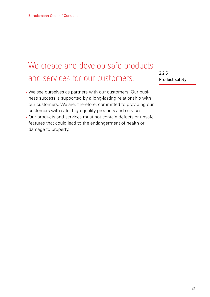### We create and develop safe products and services for our customers.

- > We see ourselves as partners with our customers. Our business success is supported by a long-lasting relationship with our customers. We are, therefore, committed to providing our customers with safe, high-quality products and services.
- > Our products and services must not contain defects or unsafe features that could lead to the endangerment of health or damage to property.

**2.2.5 Product safety**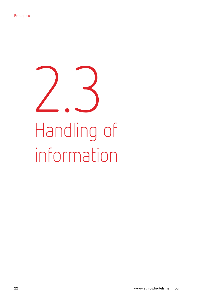# 2.3 Handling of information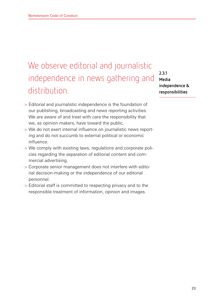### We observe editorial and journalistic independence in news gathering and distribution.

- > Editorial and journalistic independence is the foundation of our publishing, broadcasting and news reporting activities. We are aware of and treat with care the responsibility that we, as opinion makers, have toward the public.
- > We do not exert internal influence on journalistic news reporting and do not succumb to external political or economic influence.
- > We comply with existing laws, regulations and corporate policies regarding the separation of editorial content and commercial advertising.
- > Corporate senior management does not interfere with editorial decision-making or the independence of our editorial personnel.
- > Editorial staff is committed to respecting privacy and to the responsible treatment of information, opinion and images.

**2.3.1 Media independence & responsibilities**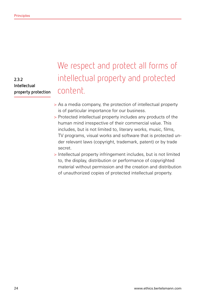**2.3.2 Intellectual property protection**

### We respect and protect all forms of intellectual property and protected content.

- > As a media company, the protection of intellectual property is of particular importance for our business.
- > Protected intellectual property includes any products of the human mind irrespective of their commercial value. This includes, but is not limited to, literary works, music, films, TV programs, visual works and software that is protected under relevant laws (copyright, trademark, patent) or by trade secret.
- > Intellectual property infringement includes, but is not limited to, the display, distribution or performance of copyrighted material without permission and the creation and distribution of unauthorized copies of protected intellectual property.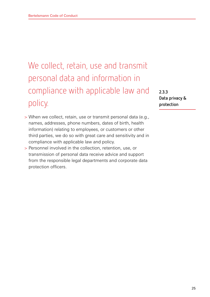## We collect, retain, use and transmit personal data and information in compliance with applicable law and policy.

- > When we collect, retain, use or transmit personal data (e.g., names, addresses, phone numbers, dates of birth, health information) relating to employees, or customers or other third parties, we do so with great care and sensitivity and in compliance with applicable law and policy.
- > Personnel involved in the collection, retention, use, or transmission of personal data receive advice and support from the responsible legal departments and corporate data protection officers.

**2.3.3 Data privacy & protection**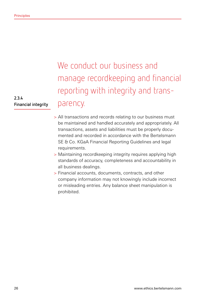**2.3.4 Financial integrity**

## We conduct our business and manage recordkeeping and financial reporting with integrity and transparency.

- > All transactions and records relating to our business must be maintained and handled accurately and appropriately. All transactions, assets and liabilities must be properly documented and recorded in accordance with the Bertelsmann SE & Co. KGaA Financial Reporting Guidelines and legal requirements.
- > Maintaining recordkeeping integrity requires applying high standards of accuracy, completeness and accountability in all business dealings.
- > Financial accounts, documents, contracts, and other company information may not knowingly include incorrect or misleading entries. Any balance sheet manipulation is prohibited.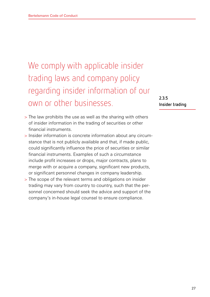## We comply with applicable insider trading laws and company policy regarding insider information of our own or other businesses.

- > The law prohibits the use as well as the sharing with others of insider information in the trading of securities or other financial instruments.
- > Insider information is concrete information about any circumstance that is not publicly available and that, if made public, could significantly influence the price of securities or similar financial instruments. Examples of such a circumstance include profit increases or drops, major contracts, plans to merge with or acquire a company, significant new products, or significant personnel changes in company leadership.
- > The scope of the relevant terms and obligations on insider trading may vary from country to country, such that the personnel concerned should seek the advice and support of the company's in-house legal counsel to ensure compliance.

**2.3.5 Insider trading**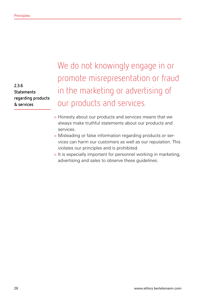**2.3.6 Statements regarding products & services**

We do not knowingly engage in or promote misrepresentation or fraud in the marketing or advertising of our products and services.

- > Honesty about our products and services means that we always make truthful statements about our products and services.
- > Misleading or false information regarding products or services can harm our customers as well as our reputation. This violates our principles and is prohibited.
- > It is especially important for personnel working in marketing, advertising and sales to observe these guidelines.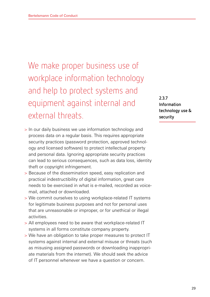We make proper business use of workplace information technology and help to protect systems and equipment against internal and external threats.

> In our daily business we use information technology and process data on a regular basis. This requires appropriate security practices (password protection, approved technology and licensed software) to protect intellectual property and personal data. Ignoring appropriate security practices can lead to serious consequences, such as data loss, identity theft or copyright infringement.

- > Because of the dissemination speed, easy replication and practical indestructibility of digital information, great care needs to be exercised in what is e-mailed, recorded as voicemail, attached or downloaded.
- > We commit ourselves to using workplace-related IT systems for legitimate business purposes and not for personal uses that are unreasonable or improper, or for unethical or illegal activities.
- > All employees need to be aware that workplace-related IT systems in all forms constitute company property.
- > We have an obligation to take proper measures to protect IT systems against internal and external misuse or threats (such as misusing assigned passwords or downloading inappropriate materials from the internet). We should seek the advice of IT personnel whenever we have a question or concern.

**2.3.7 Information technology use & security**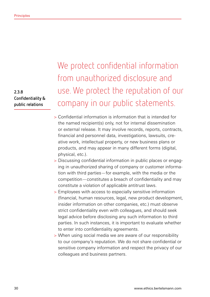**2.3.8 Confidentiality & public relations**

We protect confidential information from unauthorized disclosure and use. We protect the reputation of our company in our public statements.

- > Confidential information is information that is intended for the named recipient(s) only, not for internal dissemination or external release. It may involve records, reports, contracts, financial and personnel data, investigations, lawsuits, creative work, intellectual property, or new business plans or products, and may appear in many different forms (digital, physical, etc.).
- > Discussing confidential information in public places or engaging in unauthorized sharing of company or customer information with third parties—for example, with the media or the competition—constitutes a breach of confidentiality and may constitute a violation of applicable antitrust laws.
- > Employees with access to especially sensitive information (financial, human resources, legal, new product development, insider information on other companies, etc.) must observe strict confidentiality even with colleagues, and should seek legal advice before disclosing any such information to third parties. In such instances, it is important to evaluate whether to enter into confidentiality agreements.
- > When using social media we are aware of our responsibility to our company's reputation. We do not share confidential or sensitive company information and respect the privacy of our colleagues and business partners.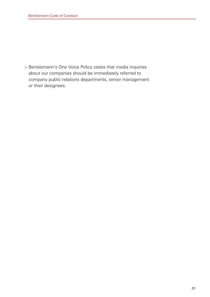> Bertelsmann's One Voice Policy states that media inquiries about our companies should be immediately referred to company public relations departments, senior management or their designees.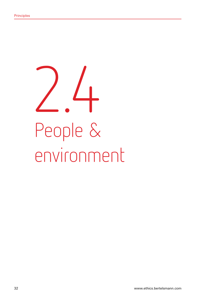2.4 People & environment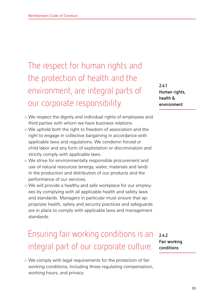The respect for human rights and the protection of health and the environment, are integral parts of our corporate responsibility.

**2.4.1 Human rights, health & environment**

- > We respect the dignity and individual rights of employees and third parties with whom we have business relations.
- > We uphold both the right to freedom of association and the right to engage in collective bargaining in accordance with applicable laws and regulations. We condemn forced or child labor and any form of exploitation or discrimination and strictly comply with applicable laws.
- > We strive for environmentally responsible procurement and use of natural resources (energy, water, materials and land) in the production and distribution of our products and the performance of our services.
- > We will provide a healthy and safe workplace for our employees by complying with all applicable health and safety laws and standards. Managers in particular must ensure that appropriate health, safety and security practices and safeguards are in place to comply with applicable laws and management standards.

### Ensuring fair working conditions is an integral part of our corporate culture.

> We comply with legal requirements for the protection of fair working conditions, including those regulating compensation, working hours, and privacy.

**2.4.2 Fair working conditions**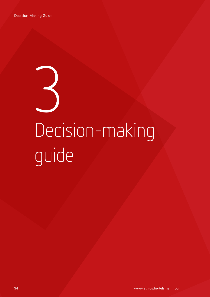# 3 Decision-making guide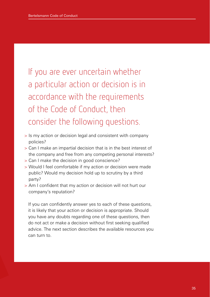If you are ever uncertain whether a particular action or decision is in accordance with the requirements of the Code of Conduct, then consider the following questions.

- > Is my action or decision legal and consistent with company policies?
- > Can I make an impartial decision that is in the best interest of the company and free from any competing personal interests?
- > Can I make the decision in good conscience?
- > Would I feel comfortable if my action or decision were made public? Would my decision hold up to scrutiny by a third party?
- > Am I confident that my action or decision will not hurt our company's reputation?

If you can confidently answer yes to each of these questions, it is likely that your action or decision is appropriate. Should you have any doubts regarding one of these questions, then do not act or make a decision without first seeking qualified advice. The next section describes the available resources you can turn to.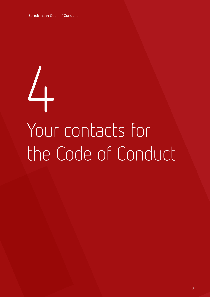# 4 Your contacts for the Code of Conduct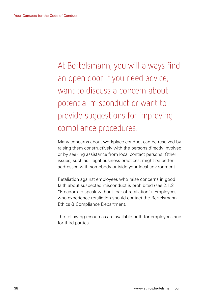At Bertelsmann, you will always find an open door if you need advice, want to discuss a concern about potential misconduct or want to provide suggestions for improving compliance procedures.

Many concerns about workplace conduct can be resolved by raising them constructively with the persons directly involved or by seeking assistance from local contact persons. Other issues, such as illegal business practices, might be better addressed with somebody outside your local environment.

Retaliation against employees who raise concerns in good faith about suspected misconduct is prohibited (see 2.1.2 "Freedom to speak without fear of retaliation"). Employees who experience retaliation should contact the Bertelsmann Ethics & Compliance Department.

The following resources are available both for employees and for third parties.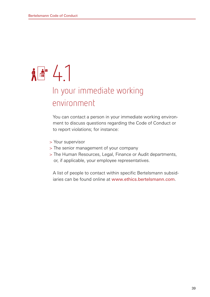# $\frac{1}{2}$

### In your immediate working environment

You can contact a person in your immediate working environment to discuss questions regarding the Code of Conduct or to report violations; for instance:

- > Your supervisor
- > The senior management of your company
- > The Human Resources, Legal, Finance or Audit departments, or, if applicable, your employee representatives.

A list of people to contact within specific Bertelsmann subsidiaries can be found online at www.ethics.bertelsmann.com.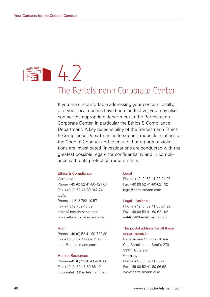## $47$ The Bertelsmann Corporate Center

If you are uncomfortable addressing your concern locally, or if your local queries have been ineffective, you may also contact the appropriate department at the Bertelsmann Corporate Center, in particular the Ethics & Compliance Department. A key responsibility of the Bertelsmann Ethics & Compliance Department is to support requests relating to the Code of Conduct and to ensure that reports of violations are investigated. Investigations are conducted with the greatest possible regard for confidentiality and in compliance with data protection requirements.

#### Ethics & Compliance

Germany: Phone +49 (0) 52 41-80-421 01 Fax +49 (0) 52 41-80-942 74 USA: Phone +1 212 782-10 57 Fax +1 212 782-10 59 ethics@bertelsmann.com www.ethics.bertelsmann.com

#### Audit

Phone +49 (0) 52 41-80-722 39 Fax +49 (0) 52 41-80-12 06 audit@bertelsmann.com

#### Human Resources

Phone +49 (0) 52 41-80-418 00 Fax +49 (0) 52 41-80-66 10 corporateHR@bertelsmann.com

### Legal

Phone +49 (0) 52 41-80-21 92 Fax +49 (0) 52 41-80-621 92 legal@bertelsmann.com

#### Legal—Antitrust

Phone +49 (0) 52 41-80-21 92 Fax +49 (0) 52 41-80-621 92 antitrust@bertelsmann.com

### The postal address for all these departments is:

Bertelsmann SE & Co. KGaA Carl-Bertelsmann-Straße 270 33311 Gütersloh Germany Phone +49 (0) 52 41-80-0 Fax +49 (0) 52 41-80-96 62 www.bertelsmann.com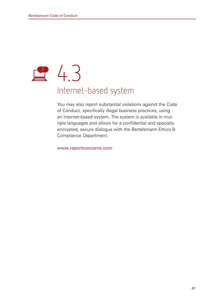# **24.3** Internet-based system

You may also report substantial violations against the Code of Conduct, specifically illegal business practices, using an internet-based system. The system is available in multiple languages and allows for a confidential and specially encrypted, secure dialogue with the Bertelsmann Ethics & Compliance Department.

### www.reportconcerns.com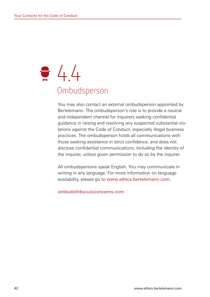# $\frac{1}{2}$  4.4 **Ombudsperson**

You may also contact an external ombudsperson appointed by Bertelsmann. The ombudsperson's role is to provide a neutral and independent channel for inquirers seeking confidential guidance in raising and resolving any suspected substantial violations against the Code of Conduct, especially illegal business practices. The ombudsperson holds all communications with those seeking assistance in strict confidence, and does not disclose confidential communications, including the identity of the inquirer, unless given permission to do so by the inquirer.

All ombudspersons speak English. You may communicate in writing in any language. For more information on language availability, please go to www.ethics.bertelsmann.com.

ombuds@discussconcerns.com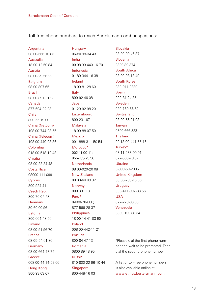Toll-free phone numbers to reach Bertelsmann ombudspersons:

**Argentina** 08 00-666 10 83 Australia 18 00-12 50 84 Austria 08 00-29 56 22 Belgium 08 00-807 65 Brazil 08 00-891-01 98 Canada 877-604-92 03 Chile 800-55 19 00 China (Netcom) 108 00-744-03 55 China (Telecom) 108 00-440-03 36 Colombia 018 00-518-10 48 Croatia 08 00-22 24 48 Costa Rica 08000 111 099 Cyprus 800-924 41 Czech Rep. 800-70 05 58 Denmark 80-60 00 96 Estonia 800-004-43 56 Finland 08 00-91 96 70 France 08 05-54 01 86 **Germany** 08 00-664-78 79 **Greece** 008 00-44 14-59 06 Hong Kong 800-93 03 67

Hungary 06-80 98-34 43 India 00 08 00-440-16 70 Indonesia 01 80-344-16 38 Ireland 18 00-81 28 60 Italy 800-92 46 08 Japan 01 20-92 98 20 Luxembourg 800-231 67 Malaysia 18 00-88 07 50 Mexico 001-888-311-50 54 Morocco\* 002-11-00 11; 855-763-73 36 **Netherlands** 08 00-020-20 08 New Zealand 08 00-68 89 32 Norway 800 30 118 Peru\* 0-800-70-088; 877-566-28 37 Philippines 18 00-14 41-03 90 Poland 008 00-442-11 21 Portugal 800-84 47 13 Romania 0800 89 48 95 Russia 810-800-22 96-10 44 **Singapore** 800-448-16 03

08 00-00 46 87 Slovenia 0800 80 374 South Africa 08 00-98 18 49 South Korea 080-911 0880 Spain 900-81 24 35 Sweden 020-160-56 82 **Switzerland** 08 00-56 21 08 Taiwan 0800 666 323 Thailand 00 18 00-441-55 16 Turkey\* 08 11-288-00 01; 877-566-28 37 Ukraine 0-800-50-2885 United Kingdom 08 00-783-15 06 **Uruguay** 000-411-002-33 56 USA 877-278-03 03 Venezuela 0800 100 88 34

Slovakia

\*Please dial the first phone number and wait to be prompted. Then dial the second phone number.

A list of toll-free phone numbers is also available online at www.ethics.bertelsmann.com.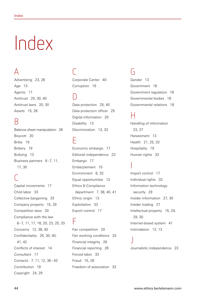# Index

### $\Delta$

Advertising 23, 28 Age 13 Agents 17 Antitrust 20, 30, 40 Antitrust laws 20, 30 Assets 15, 26

### B

Balance sheet manipulation 26 Boycott 20 Bribe 19 Bribery 19 Bullying 13 Business partners 6–7, 11, 17, 30

### $\bigcup$

Capital movements 17 Child labor 33 Collective bargaining 33 Company property 15, 29 Competition laws 20 Compliance with the law 6–7, 11, 17, 18, 20, 23, 25, 33 Concerns 12, 38, 40 Confidentiality 25, 30, 40, 41, 42 Conflicts of interest 14 Consultant 17 Contacts 7, 11, 12, 36–43 Contribution 19 Copyright 24, 29

## $\mathsf{C}$

Corporate Center 40 Corruption 19

### D

Data protection 25, 40 Data protection officer 25 Digital information 29 Disability 13 Discrimination 13, 33

### E

Economic embargo 17 Editorial independence 23 Embargo 17 Embezzlement 15 Environment 6, 33 Equal opportunities 13 Ethics & Compliance department 7, 38, 40, 41 Ethnic origin 13 Exploitation 33 Export control 17

### F

Fair competition 20 Fair working conditions 33 Financial integrity 26 Financial reporting 26 Forced labor 33 Fraud 15, 28 Freedom of association 33

### G

Gender 13 Government 18 Government regulators 18 Governmental bodies 18 Governmental relations 18

### H

Handling of information 23, 27 Harassment 13 Health 21, 25, 33 Hospitality 19 Human rights 33

### I

J

Import control 17 Individual rights 33 Information technology security 29 Insider information 27, 30 Insider trading 27 Intellectual property 15, 24, 29, 30 Internet-based system 41 Intimidation 12, 13

Journalistic independence 23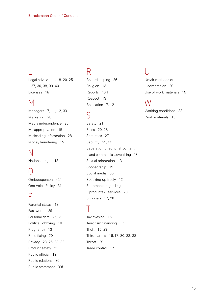### L

Legal advice 11, 18, 20, 25, 27, 30, 38, 39, 40 Licenses 18

### M

Managers 7, 11, 12, 33 Marketing 28 Media independence 23 Misappropriation 15 Misleading information 28 Money laundering 15

### N

National origin 13

### $\bigcirc$

Ombudsperson 42f. One Voice Policy 31

### P

Parental status 13 Passwords 29 Personal data 25, 29 Political lobbying 18 Pregnancy 13 Price fixing 20 Privacy 23, 25, 30, 33 Product safety 21 Public official 19 Public relations 30 Public statement 30f.

### R

Recordkeeping 26 Religion 13 Reports 40ff. Respect 13 Retaliation 7, 12

### $\varsigma$

Safety 21 Sales 20, 28 Securities 27 Security 29, 33 Separation of editorial content and commercial advertising 23 Sexual orientation 13 Sponsorship 19 Social media 30 Speaking up freely 12 Statements regarding products & services 28 Suppliers 17, 20

### T

Tax evasion 15 Terrorism financing 17 Theft 15, 29 Third parties 16,17, 30, 33, 38 Threat 29 Trade control 17

### U

Unfair methods of competition 20 Use of work materials 15

### W

Working conditions 33 Work materials 15